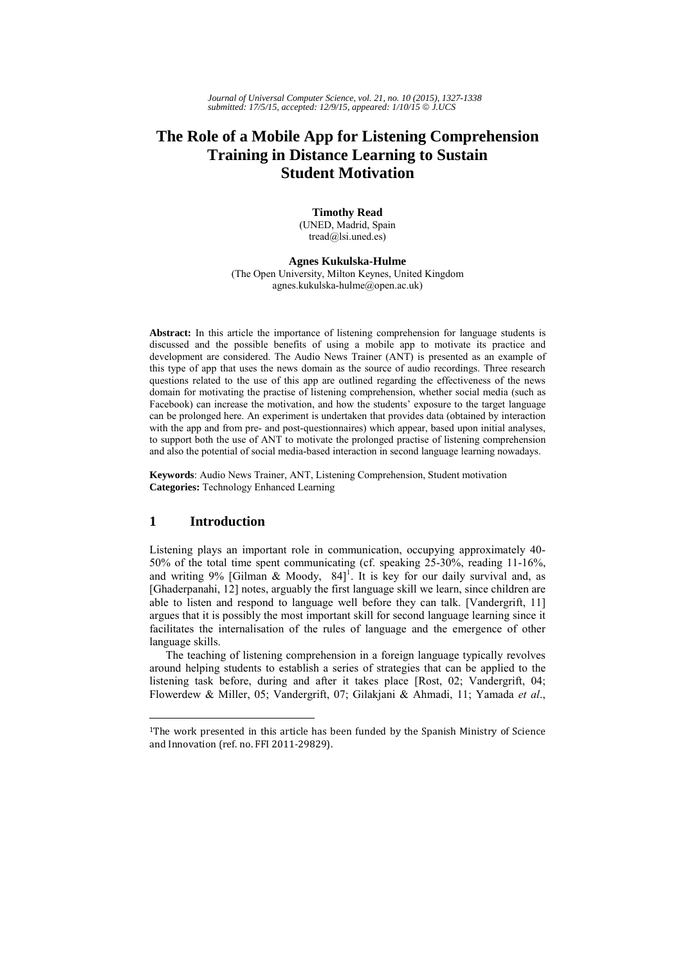# **The Role of a Mobile App for Listening Comprehension Training in Distance Learning to Sustain Student Motivation**

**Timothy Read**  (UNED, Madrid, Spain tread@lsi.uned.es)

**Agnes Kukulska-Hulme**  (The Open University, Milton Keynes, United Kingdom agnes.kukulska-hulme@open.ac.uk)

**Abstract:** In this article the importance of listening comprehension for language students is discussed and the possible benefits of using a mobile app to motivate its practice and development are considered. The Audio News Trainer (ANT) is presented as an example of this type of app that uses the news domain as the source of audio recordings. Three research questions related to the use of this app are outlined regarding the effectiveness of the news domain for motivating the practise of listening comprehension, whether social media (such as Facebook) can increase the motivation, and how the students' exposure to the target language can be prolonged here. An experiment is undertaken that provides data (obtained by interaction with the app and from pre- and post-questionnaires) which appear, based upon initial analyses, to support both the use of ANT to motivate the prolonged practise of listening comprehension and also the potential of social media-based interaction in second language learning nowadays.

**Keywords**: Audio News Trainer, ANT, Listening Comprehension, Student motivation **Categories:** Technology Enhanced Learning

## **1 Introduction**

 $\overline{\phantom{a}}$ 

Listening plays an important role in communication, occupying approximately 40- 50% of the total time spent communicating (cf. speaking 25-30%, reading 11-16%, and writing 9% [Gilman & Moody,  $84$ ]<sup>1</sup>. It is key for our daily survival and, as [Ghaderpanahi, 12] notes, arguably the first language skill we learn, since children are able to listen and respond to language well before they can talk. [Vandergrift, 11] argues that it is possibly the most important skill for second language learning since it facilitates the internalisation of the rules of language and the emergence of other language skills.

The teaching of listening comprehension in a foreign language typically revolves around helping students to establish a series of strategies that can be applied to the listening task before, during and after it takes place [Rost, 02; Vandergrift, 04; Flowerdew & Miller, 05; Vandergrift, 07; Gilakjani & Ahmadi, 11; Yamada *et al*.,

<sup>&</sup>lt;sup>1</sup>The work presented in this article has been funded by the Spanish Ministry of Science and Innovation (ref. no. FFI 2011-29829).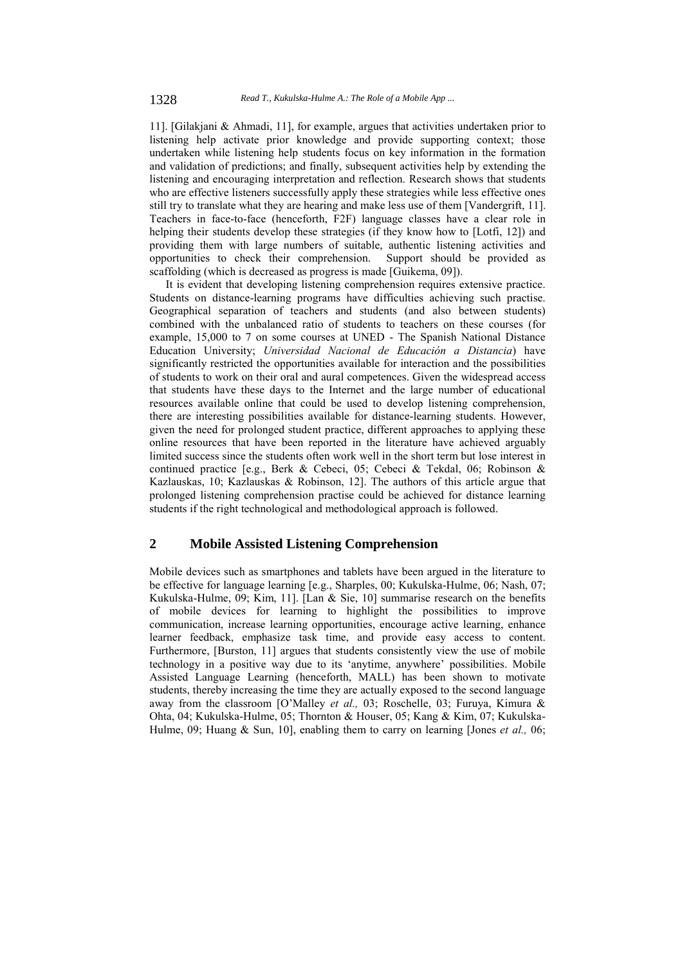11]. [Gilakjani & Ahmadi, 11], for example, argues that activities undertaken prior to listening help activate prior knowledge and provide supporting context; those undertaken while listening help students focus on key information in the formation and validation of predictions; and finally, subsequent activities help by extending the listening and encouraging interpretation and reflection. Research shows that students who are effective listeners successfully apply these strategies while less effective ones still try to translate what they are hearing and make less use of them [Vandergrift, 11]. Teachers in face-to-face (henceforth, F2F) language classes have a clear role in helping their students develop these strategies (if they know how to [Lotfi, 12]) and providing them with large numbers of suitable, authentic listening activities and opportunities to check their comprehension. Support should be provided as scaffolding (which is decreased as progress is made [Guikema, 09]).

It is evident that developing listening comprehension requires extensive practice. Students on distance-learning programs have difficulties achieving such practise. Geographical separation of teachers and students (and also between students) combined with the unbalanced ratio of students to teachers on these courses (for example, 15,000 to 7 on some courses at UNED - The Spanish National Distance Education University; *Universidad Nacional de Educación a Distancia*) have significantly restricted the opportunities available for interaction and the possibilities of students to work on their oral and aural competences. Given the widespread access that students have these days to the Internet and the large number of educational resources available online that could be used to develop listening comprehension, there are interesting possibilities available for distance-learning students. However, given the need for prolonged student practice, different approaches to applying these online resources that have been reported in the literature have achieved arguably limited success since the students often work well in the short term but lose interest in continued practice [e.g., Berk & Cebeci, 05; Cebeci & Tekdal, 06; Robinson & Kazlauskas, 10; Kazlauskas & Robinson, 12]. The authors of this article argue that prolonged listening comprehension practise could be achieved for distance learning students if the right technological and methodological approach is followed.

### **2 Mobile Assisted Listening Comprehension**

Mobile devices such as smartphones and tablets have been argued in the literature to be effective for language learning [e.g., Sharples, 00; Kukulska-Hulme, 06; Nash, 07; Kukulska-Hulme, 09; Kim, 11]. [Lan & Sie, 10] summarise research on the benefits of mobile devices for learning to highlight the possibilities to improve communication, increase learning opportunities, encourage active learning, enhance learner feedback, emphasize task time, and provide easy access to content. Furthermore, [Burston, 11] argues that students consistently view the use of mobile technology in a positive way due to its 'anytime, anywhere' possibilities. Mobile Assisted Language Learning (henceforth, MALL) has been shown to motivate students, thereby increasing the time they are actually exposed to the second language away from the classroom [O'Malley *et al.,* 03; Roschelle, 03; Furuya, Kimura & Ohta, 04; Kukulska-Hulme, 05; Thornton & Houser, 05; Kang & Kim, 07; Kukulska-Hulme, 09; Huang & Sun, 10], enabling them to carry on learning [Jones *et al.,* 06;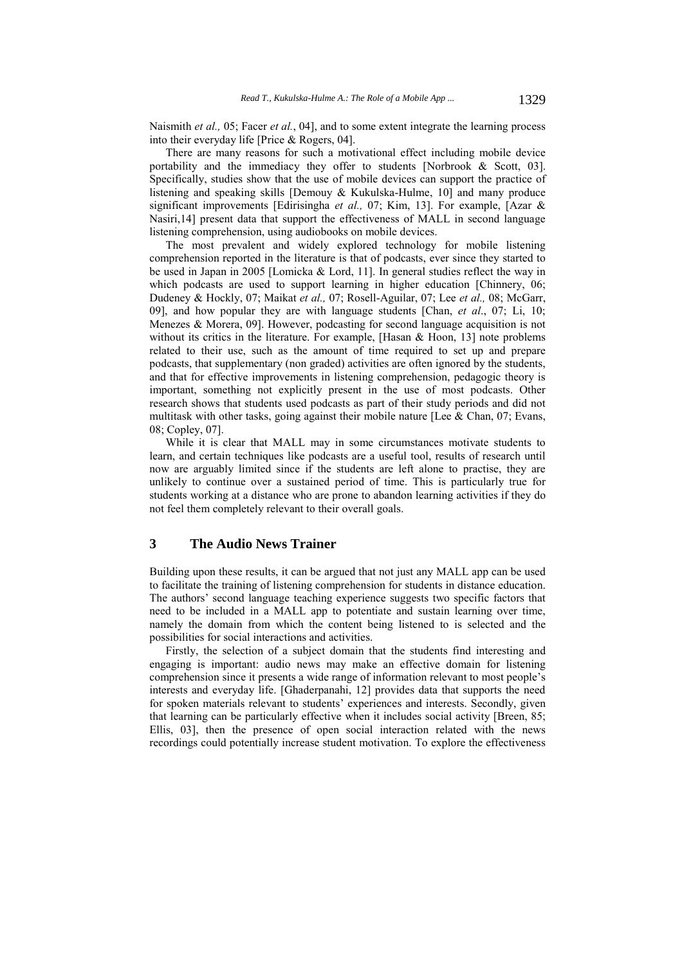Naismith *et al.,* 05; Facer *et al.*, 04], and to some extent integrate the learning process into their everyday life [Price & Rogers, 04].

There are many reasons for such a motivational effect including mobile device portability and the immediacy they offer to students [Norbrook & Scott, 03]. Specifically, studies show that the use of mobile devices can support the practice of listening and speaking skills [Demouy & Kukulska-Hulme, 10] and many produce significant improvements [Edirisingha *et al.,* 07; Kim, 13]. For example, [Azar & Nasiri,14] present data that support the effectiveness of MALL in second language listening comprehension, using audiobooks on mobile devices.

The most prevalent and widely explored technology for mobile listening comprehension reported in the literature is that of podcasts, ever since they started to be used in Japan in 2005 [Lomicka & Lord, 11]. In general studies reflect the way in which podcasts are used to support learning in higher education [Chinnery, 06; Dudeney & Hockly, 07; Maikat *et al.,* 07; Rosell-Aguilar, 07; Lee *et al.,* 08; McGarr, 09], and how popular they are with language students [Chan, *et al*., 07; Li, 10; Menezes & Morera, 09]. However, podcasting for second language acquisition is not without its critics in the literature. For example, [Hasan & Hoon, 13] note problems related to their use, such as the amount of time required to set up and prepare podcasts, that supplementary (non graded) activities are often ignored by the students, and that for effective improvements in listening comprehension, pedagogic theory is important, something not explicitly present in the use of most podcasts. Other research shows that students used podcasts as part of their study periods and did not multitask with other tasks, going against their mobile nature [Lee  $& Chan, 07$ ; Evans, 08; Copley, 07].

While it is clear that MALL may in some circumstances motivate students to learn, and certain techniques like podcasts are a useful tool, results of research until now are arguably limited since if the students are left alone to practise, they are unlikely to continue over a sustained period of time. This is particularly true for students working at a distance who are prone to abandon learning activities if they do not feel them completely relevant to their overall goals.

### **3 The Audio News Trainer**

Building upon these results, it can be argued that not just any MALL app can be used to facilitate the training of listening comprehension for students in distance education. The authors' second language teaching experience suggests two specific factors that need to be included in a MALL app to potentiate and sustain learning over time, namely the domain from which the content being listened to is selected and the possibilities for social interactions and activities.

Firstly, the selection of a subject domain that the students find interesting and engaging is important: audio news may make an effective domain for listening comprehension since it presents a wide range of information relevant to most people's interests and everyday life. [Ghaderpanahi, 12] provides data that supports the need for spoken materials relevant to students' experiences and interests. Secondly, given that learning can be particularly effective when it includes social activity [Breen, 85; Ellis, 03], then the presence of open social interaction related with the news recordings could potentially increase student motivation. To explore the effectiveness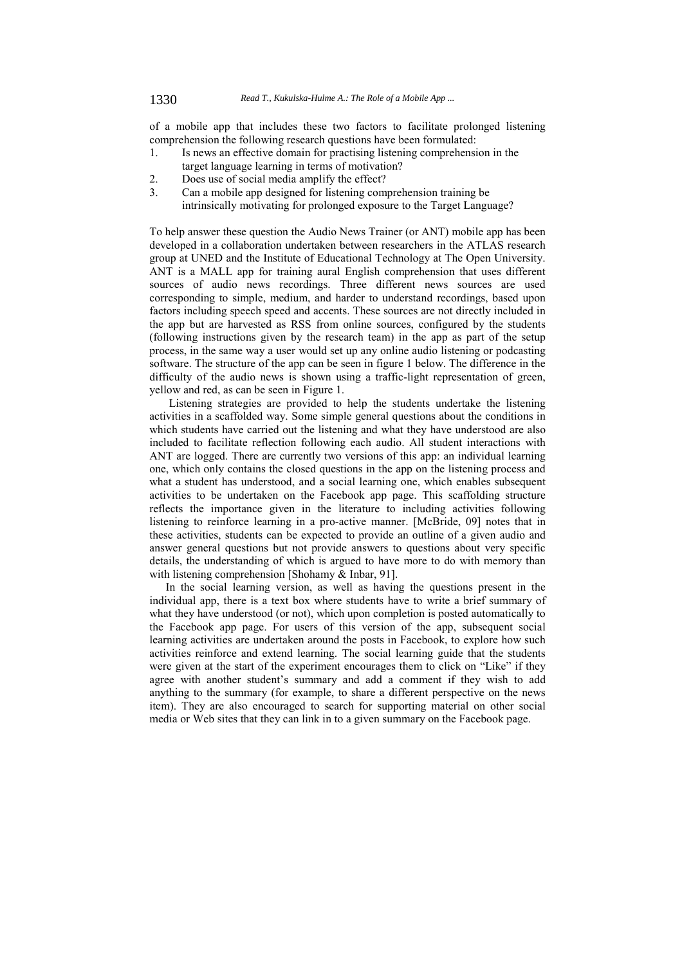of a mobile app that includes these two factors to facilitate prolonged listening comprehension the following research questions have been formulated:

- 1. Is news an effective domain for practising listening comprehension in the target language learning in terms of motivation?
- 2. Does use of social media amplify the effect?
- 3. Can a mobile app designed for listening comprehension training be intrinsically motivating for prolonged exposure to the Target Language?

To help answer these question the Audio News Trainer (or ANT) mobile app has been developed in a collaboration undertaken between researchers in the ATLAS research group at UNED and the Institute of Educational Technology at The Open University. ANT is a MALL app for training aural English comprehension that uses different sources of audio news recordings. Three different news sources are used corresponding to simple, medium, and harder to understand recordings, based upon factors including speech speed and accents. These sources are not directly included in the app but are harvested as RSS from online sources, configured by the students (following instructions given by the research team) in the app as part of the setup process, in the same way a user would set up any online audio listening or podcasting software. The structure of the app can be seen in figure 1 below. The difference in the difficulty of the audio news is shown using a traffic-light representation of green, yellow and red, as can be seen in Figure 1.

Listening strategies are provided to help the students undertake the listening activities in a scaffolded way. Some simple general questions about the conditions in which students have carried out the listening and what they have understood are also included to facilitate reflection following each audio. All student interactions with ANT are logged. There are currently two versions of this app: an individual learning one, which only contains the closed questions in the app on the listening process and what a student has understood, and a social learning one, which enables subsequent activities to be undertaken on the Facebook app page. This scaffolding structure reflects the importance given in the literature to including activities following listening to reinforce learning in a pro-active manner. [McBride, 09] notes that in these activities, students can be expected to provide an outline of a given audio and answer general questions but not provide answers to questions about very specific details, the understanding of which is argued to have more to do with memory than with listening comprehension [Shohamy & Inbar, 91].

In the social learning version, as well as having the questions present in the individual app, there is a text box where students have to write a brief summary of what they have understood (or not), which upon completion is posted automatically to the Facebook app page. For users of this version of the app, subsequent social learning activities are undertaken around the posts in Facebook, to explore how such activities reinforce and extend learning. The social learning guide that the students were given at the start of the experiment encourages them to click on "Like" if they agree with another student's summary and add a comment if they wish to add anything to the summary (for example, to share a different perspective on the news item). They are also encouraged to search for supporting material on other social media or Web sites that they can link in to a given summary on the Facebook page.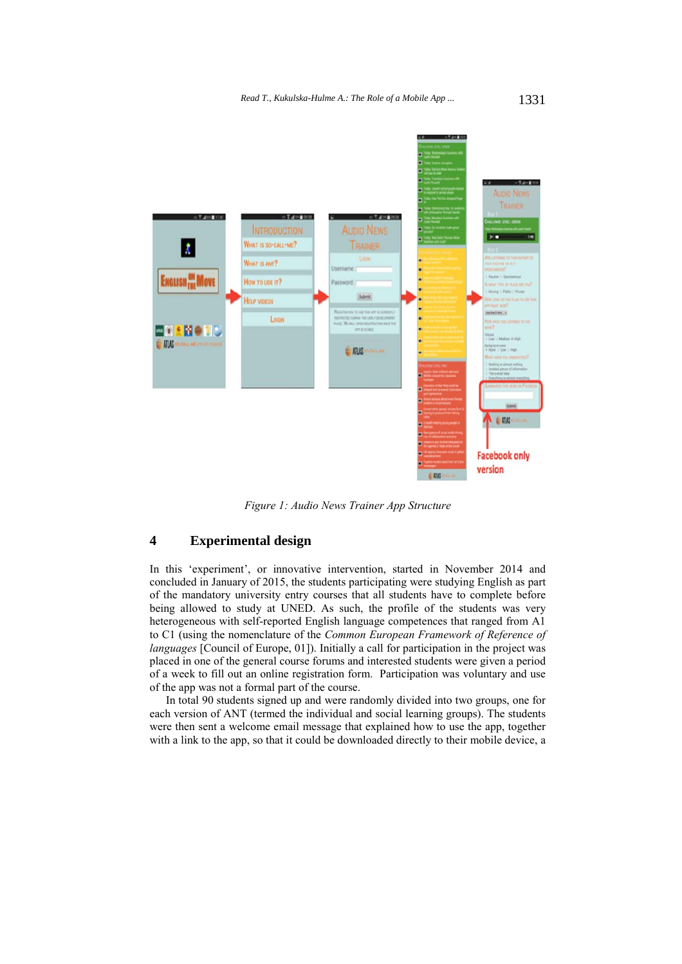

*Figure 1: Audio News Trainer App Structure* 

## **4 Experimental design**

In this 'experiment', or innovative intervention, started in November 2014 and concluded in January of 2015, the students participating were studying English as part of the mandatory university entry courses that all students have to complete before being allowed to study at UNED. As such, the profile of the students was very heterogeneous with self-reported English language competences that ranged from A1 to C1 (using the nomenclature of the *Common European Framework of Reference of languages* [Council of Europe, 01]). Initially a call for participation in the project was placed in one of the general course forums and interested students were given a period of a week to fill out an online registration form. Participation was voluntary and use of the app was not a formal part of the course.

In total 90 students signed up and were randomly divided into two groups, one for each version of ANT (termed the individual and social learning groups). The students were then sent a welcome email message that explained how to use the app, together with a link to the app, so that it could be downloaded directly to their mobile device, a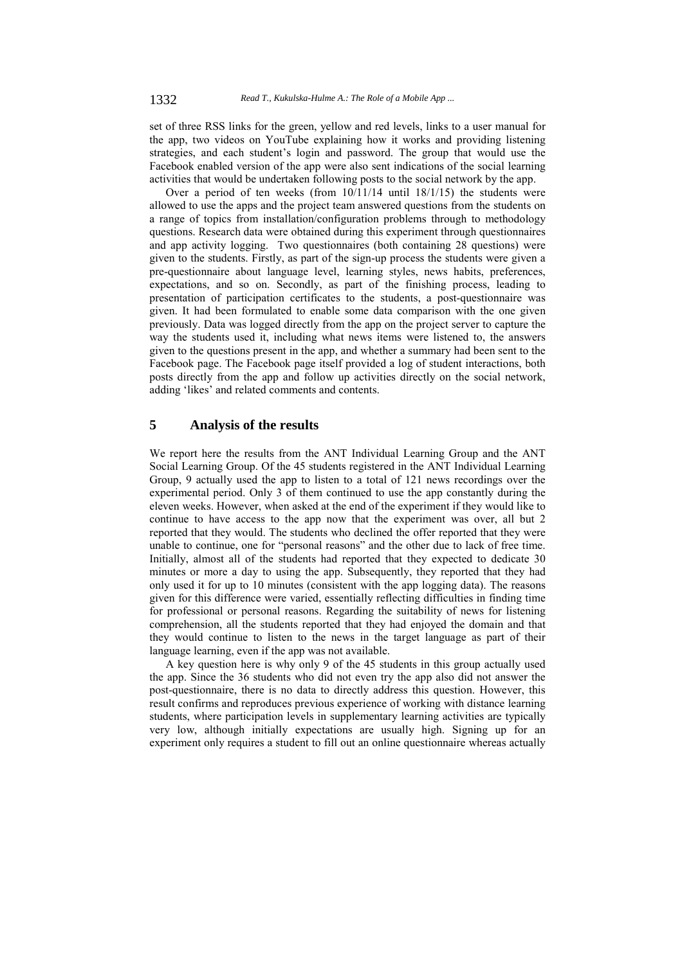set of three RSS links for the green, yellow and red levels, links to a user manual for the app, two videos on YouTube explaining how it works and providing listening strategies, and each student's login and password. The group that would use the Facebook enabled version of the app were also sent indications of the social learning activities that would be undertaken following posts to the social network by the app.

Over a period of ten weeks (from 10/11/14 until 18/1/15) the students were allowed to use the apps and the project team answered questions from the students on a range of topics from installation/configuration problems through to methodology questions. Research data were obtained during this experiment through questionnaires and app activity logging. Two questionnaires (both containing 28 questions) were given to the students. Firstly, as part of the sign-up process the students were given a pre-questionnaire about language level, learning styles, news habits, preferences, expectations, and so on. Secondly, as part of the finishing process, leading to presentation of participation certificates to the students, a post-questionnaire was given. It had been formulated to enable some data comparison with the one given previously. Data was logged directly from the app on the project server to capture the way the students used it, including what news items were listened to, the answers given to the questions present in the app, and whether a summary had been sent to the Facebook page. The Facebook page itself provided a log of student interactions, both posts directly from the app and follow up activities directly on the social network, adding 'likes' and related comments and contents.

# **5 Analysis of the results**

We report here the results from the ANT Individual Learning Group and the ANT Social Learning Group. Of the 45 students registered in the ANT Individual Learning Group, 9 actually used the app to listen to a total of 121 news recordings over the experimental period. Only 3 of them continued to use the app constantly during the eleven weeks. However, when asked at the end of the experiment if they would like to continue to have access to the app now that the experiment was over, all but 2 reported that they would. The students who declined the offer reported that they were unable to continue, one for "personal reasons" and the other due to lack of free time. Initially, almost all of the students had reported that they expected to dedicate 30 minutes or more a day to using the app. Subsequently, they reported that they had only used it for up to 10 minutes (consistent with the app logging data). The reasons given for this difference were varied, essentially reflecting difficulties in finding time for professional or personal reasons. Regarding the suitability of news for listening comprehension, all the students reported that they had enjoyed the domain and that they would continue to listen to the news in the target language as part of their language learning, even if the app was not available.

A key question here is why only 9 of the 45 students in this group actually used the app. Since the 36 students who did not even try the app also did not answer the post-questionnaire, there is no data to directly address this question. However, this result confirms and reproduces previous experience of working with distance learning students, where participation levels in supplementary learning activities are typically very low, although initially expectations are usually high. Signing up for an experiment only requires a student to fill out an online questionnaire whereas actually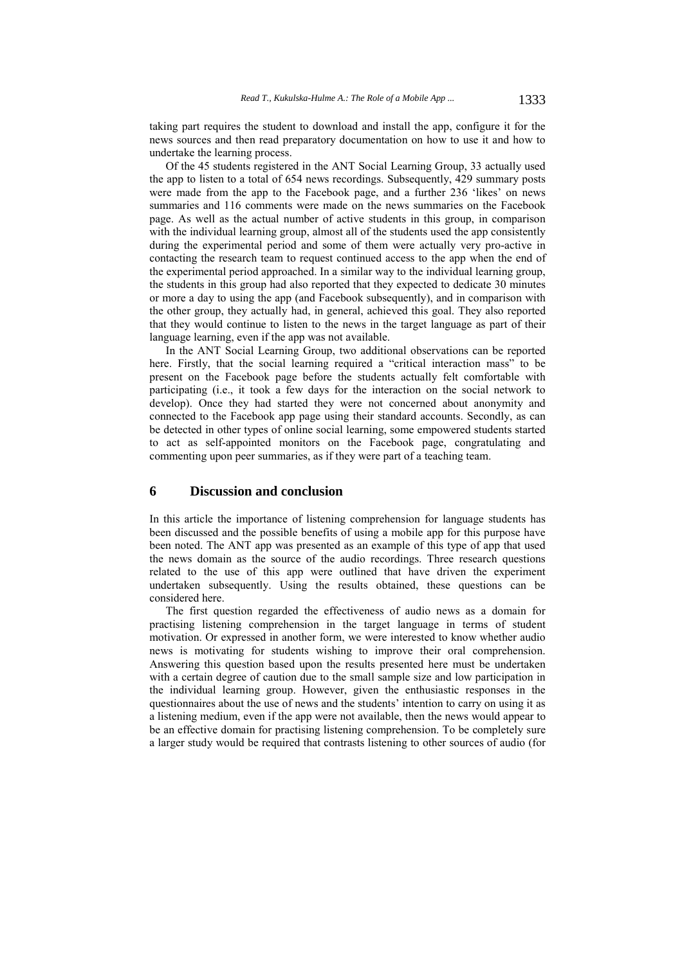taking part requires the student to download and install the app, configure it for the news sources and then read preparatory documentation on how to use it and how to undertake the learning process.

Of the 45 students registered in the ANT Social Learning Group, 33 actually used the app to listen to a total of 654 news recordings. Subsequently, 429 summary posts were made from the app to the Facebook page, and a further 236 'likes' on news summaries and 116 comments were made on the news summaries on the Facebook page. As well as the actual number of active students in this group, in comparison with the individual learning group, almost all of the students used the app consistently during the experimental period and some of them were actually very pro-active in contacting the research team to request continued access to the app when the end of the experimental period approached. In a similar way to the individual learning group, the students in this group had also reported that they expected to dedicate 30 minutes or more a day to using the app (and Facebook subsequently), and in comparison with the other group, they actually had, in general, achieved this goal. They also reported that they would continue to listen to the news in the target language as part of their language learning, even if the app was not available.

In the ANT Social Learning Group, two additional observations can be reported here. Firstly, that the social learning required a "critical interaction mass" to be present on the Facebook page before the students actually felt comfortable with participating (i.e., it took a few days for the interaction on the social network to develop). Once they had started they were not concerned about anonymity and connected to the Facebook app page using their standard accounts. Secondly, as can be detected in other types of online social learning, some empowered students started to act as self-appointed monitors on the Facebook page, congratulating and commenting upon peer summaries, as if they were part of a teaching team.

#### **6 Discussion and conclusion**

In this article the importance of listening comprehension for language students has been discussed and the possible benefits of using a mobile app for this purpose have been noted. The ANT app was presented as an example of this type of app that used the news domain as the source of the audio recordings. Three research questions related to the use of this app were outlined that have driven the experiment undertaken subsequently. Using the results obtained, these questions can be considered here.

The first question regarded the effectiveness of audio news as a domain for practising listening comprehension in the target language in terms of student motivation. Or expressed in another form, we were interested to know whether audio news is motivating for students wishing to improve their oral comprehension. Answering this question based upon the results presented here must be undertaken with a certain degree of caution due to the small sample size and low participation in the individual learning group. However, given the enthusiastic responses in the questionnaires about the use of news and the students' intention to carry on using it as a listening medium, even if the app were not available, then the news would appear to be an effective domain for practising listening comprehension. To be completely sure a larger study would be required that contrasts listening to other sources of audio (for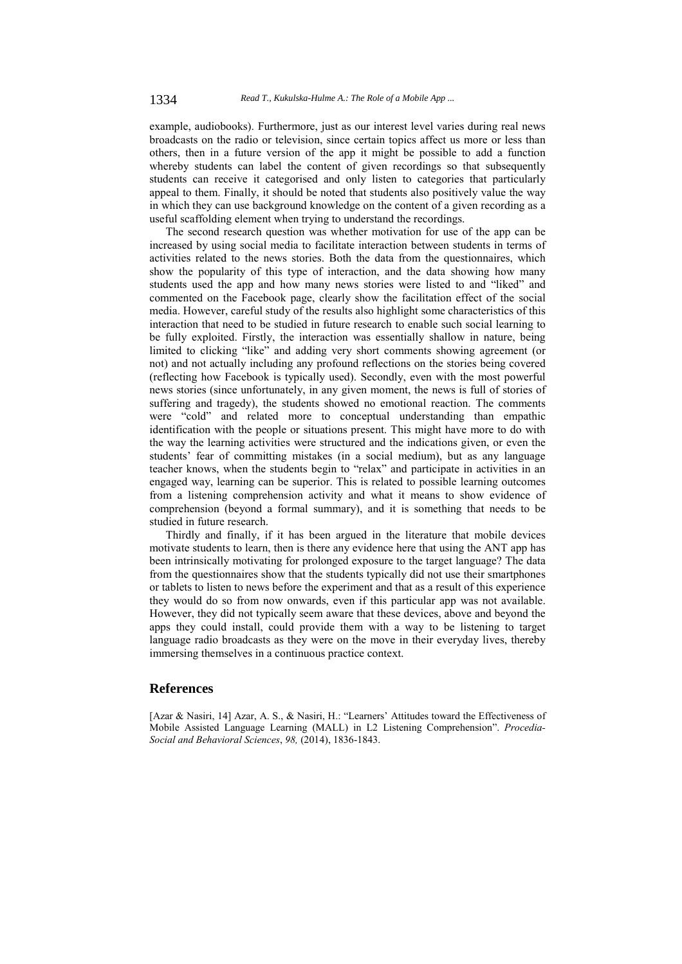example, audiobooks). Furthermore, just as our interest level varies during real news broadcasts on the radio or television, since certain topics affect us more or less than others, then in a future version of the app it might be possible to add a function whereby students can label the content of given recordings so that subsequently students can receive it categorised and only listen to categories that particularly appeal to them. Finally, it should be noted that students also positively value the way in which they can use background knowledge on the content of a given recording as a useful scaffolding element when trying to understand the recordings.

The second research question was whether motivation for use of the app can be increased by using social media to facilitate interaction between students in terms of activities related to the news stories. Both the data from the questionnaires, which show the popularity of this type of interaction, and the data showing how many students used the app and how many news stories were listed to and "liked" and commented on the Facebook page, clearly show the facilitation effect of the social media. However, careful study of the results also highlight some characteristics of this interaction that need to be studied in future research to enable such social learning to be fully exploited. Firstly, the interaction was essentially shallow in nature, being limited to clicking "like" and adding very short comments showing agreement (or not) and not actually including any profound reflections on the stories being covered (reflecting how Facebook is typically used). Secondly, even with the most powerful news stories (since unfortunately, in any given moment, the news is full of stories of suffering and tragedy), the students showed no emotional reaction. The comments were "cold" and related more to conceptual understanding than empathic identification with the people or situations present. This might have more to do with the way the learning activities were structured and the indications given, or even the students' fear of committing mistakes (in a social medium), but as any language teacher knows, when the students begin to "relax" and participate in activities in an engaged way, learning can be superior. This is related to possible learning outcomes from a listening comprehension activity and what it means to show evidence of comprehension (beyond a formal summary), and it is something that needs to be studied in future research.

Thirdly and finally, if it has been argued in the literature that mobile devices motivate students to learn, then is there any evidence here that using the ANT app has been intrinsically motivating for prolonged exposure to the target language? The data from the questionnaires show that the students typically did not use their smartphones or tablets to listen to news before the experiment and that as a result of this experience they would do so from now onwards, even if this particular app was not available. However, they did not typically seem aware that these devices, above and beyond the apps they could install, could provide them with a way to be listening to target language radio broadcasts as they were on the move in their everyday lives, thereby immersing themselves in a continuous practice context.

#### **References**

[Azar & Nasiri, 14] Azar, A. S., & Nasiri, H.: "Learners' Attitudes toward the Effectiveness of Mobile Assisted Language Learning (MALL) in L2 Listening Comprehension". *Procedia-Social and Behavioral Sciences*, *98,* (2014), 1836-1843.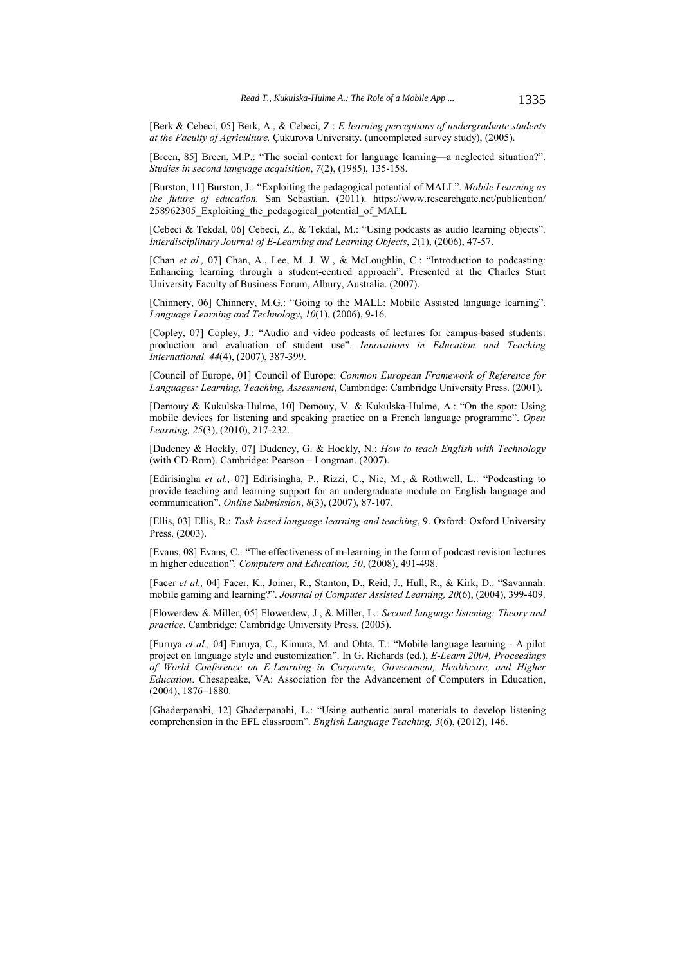[Berk & Cebeci, 05] Berk, A., & Cebeci, Z.: *E-learning perceptions of undergraduate students at the Faculty of Agriculture,* Çukurova University. (uncompleted survey study), (2005).

[Breen, 85] Breen, M.P.: "The social context for language learning—a neglected situation?". *Studies in second language acquisition*, *7*(2), (1985), 135-158.

[Burston, 11] Burston, J.: "Exploiting the pedagogical potential of MALL". *Mobile Learning as the future of education.* San Sebastian. (2011). https://www.researchgate.net/publication/ 258962305 Exploiting the pedagogical potential of MALL

[Cebeci & Tekdal, 06] Cebeci, Z., & Tekdal, M.: "Using podcasts as audio learning objects". *Interdisciplinary Journal of E-Learning and Learning Objects*, *2*(1), (2006), 47-57.

[Chan *et al.,* 07] Chan, A., Lee, M. J. W., & McLoughlin, C.: "Introduction to podcasting: Enhancing learning through a student-centred approach". Presented at the Charles Sturt University Faculty of Business Forum, Albury, Australia. (2007).

[Chinnery, 06] Chinnery, M.G.: "Going to the MALL: Mobile Assisted language learning". *Language Learning and Technology*, *10*(1), (2006), 9-16.

[Copley, 07] Copley, J.: "Audio and video podcasts of lectures for campus-based students: production and evaluation of student use". *Innovations in Education and Teaching International, 44*(4), (2007), 387-399.

[Council of Europe, 01] Council of Europe: *Common European Framework of Reference for Languages: Learning, Teaching, Assessment*, Cambridge: Cambridge University Press. (2001).

[Demouy & Kukulska-Hulme, 10] Demouy, V. & Kukulska-Hulme, A.: "On the spot: Using mobile devices for listening and speaking practice on a French language programme". *Open Learning, 25*(3), (2010), 217-232.

[Dudeney & Hockly, 07] Dudeney, G. & Hockly, N.: *How to teach English with Technology* (with CD-Rom). Cambridge: Pearson – Longman. (2007).

[Edirisingha *et al.,* 07] Edirisingha, P., Rizzi, C., Nie, M., & Rothwell, L.: "Podcasting to provide teaching and learning support for an undergraduate module on English language and communication". *Online Submission*, *8*(3), (2007), 87-107.

[Ellis, 03] Ellis, R.: *Task-based language learning and teaching*, 9. Oxford: Oxford University Press. (2003).

[Evans, 08] Evans, C.: "The effectiveness of m-learning in the form of podcast revision lectures in higher education". *Computers and Education, 50*, (2008), 491-498.

[Facer *et al.,* 04] Facer, K., Joiner, R., Stanton, D., Reid, J., Hull, R., & Kirk, D.: "Savannah: mobile gaming and learning?". *Journal of Computer Assisted Learning, 20*(6), (2004), 399-409.

[Flowerdew & Miller, 05] Flowerdew, J., & Miller, L.: *Second language listening: Theory and practice.* Cambridge: Cambridge University Press. (2005).

[Furuya *et al.,* 04] Furuya, C., Kimura, M. and Ohta, T.: "Mobile language learning - A pilot project on language style and customization". In G. Richards (ed.), *E-Learn 2004, Proceedings of World Conference on E-Learning in Corporate, Government, Healthcare, and Higher Education*. Chesapeake, VA: Association for the Advancement of Computers in Education, (2004), 1876–1880.

[Ghaderpanahi, 12] Ghaderpanahi, L.: "Using authentic aural materials to develop listening comprehension in the EFL classroom". *English Language Teaching, 5*(6), (2012), 146.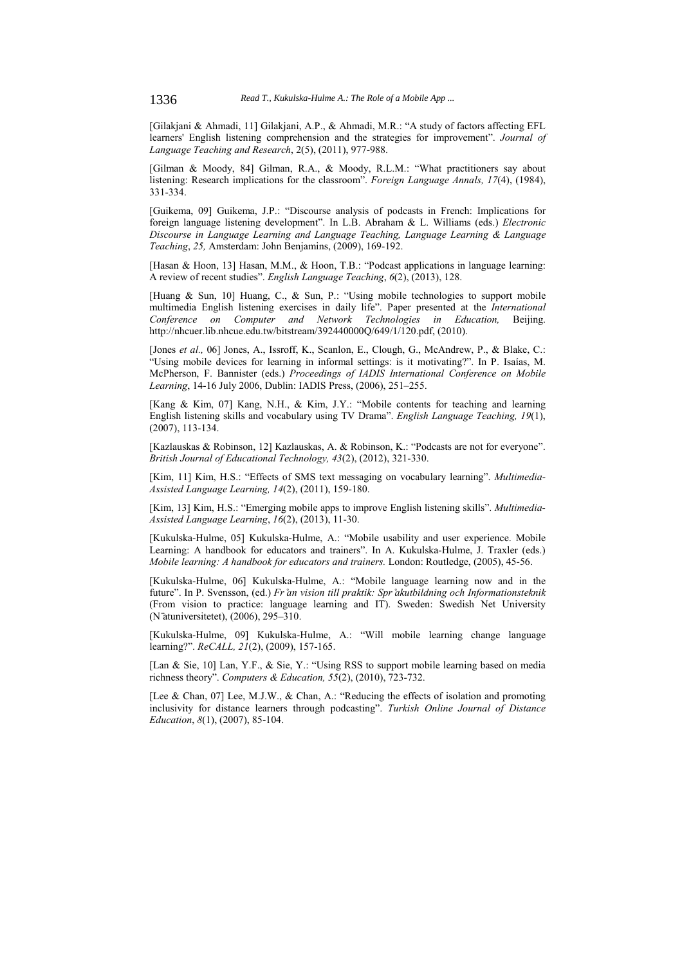[Gilakjani & Ahmadi, 11] Gilakjani, A.P., & Ahmadi, M.R.: "A study of factors affecting EFL learners' English listening comprehension and the strategies for improvement". *Journal of Language Teaching and Research*, 2(5), (2011), 977-988.

[Gilman & Moody, 84] Gilman, R.A., & Moody, R.L.M.: "What practitioners say about listening: Research implications for the classroom". *Foreign Language Annals, 17*(4), (1984), 331-334.

[Guikema, 09] Guikema, J.P.: "Discourse analysis of podcasts in French: Implications for foreign language listening development". In L.B. Abraham & L. Williams (eds.) *Electronic Discourse in Language Learning and Language Teaching, Language Learning & Language Teaching*, *25,* Amsterdam: John Benjamins, (2009), 169-192.

[Hasan & Hoon, 13] Hasan, M.M., & Hoon, T.B.: "Podcast applications in language learning: A review of recent studies". *English Language Teaching*, *6*(2), (2013), 128.

[Huang & Sun, 10] Huang, C., & Sun, P.: "Using mobile technologies to support mobile multimedia English listening exercises in daily life". Paper presented at the *International Conference on Computer and Network Technologies in Education,* Beijing. http://nhcuer.lib.nhcue.edu.tw/bitstream/392440000Q/649/1/120.pdf, (2010).

[Jones *et al.,* 06] Jones, A., Issroff, K., Scanlon, E., Clough, G., McAndrew, P., & Blake, C.: "Using mobile devices for learning in informal settings: is it motivating?". In P. Isaías, M. McPherson, F. Bannister (eds.) *Proceedings of IADIS International Conference on Mobile Learning*, 14-16 July 2006, Dublin: IADIS Press, (2006), 251–255.

[Kang & Kim, 07] Kang, N.H., & Kim, J.Y.: "Mobile contents for teaching and learning English listening skills and vocabulary using TV Drama". *English Language Teaching, 19*(1), (2007), 113-134.

[Kazlauskas & Robinson, 12] Kazlauskas, A. & Robinson, K.: "Podcasts are not for everyone". *British Journal of Educational Technology, 43*(2), (2012), 321-330.

[Kim, 11] Kim, H.S.: "Effects of SMS text messaging on vocabulary learning". *Multimedia-Assisted Language Learning, 14*(2), (2011), 159-180.

[Kim, 13] Kim, H.S.: "Emerging mobile apps to improve English listening skills". *Multimedia-Assisted Language Learning*, *16*(2), (2013), 11-30.

[Kukulska-Hulme, 05] Kukulska-Hulme, A.: "Mobile usability and user experience. Mobile Learning: A handbook for educators and trainers". In A. Kukulska-Hulme, J. Traxler (eds.) *Mobile learning: A handbook for educators and trainers.* London: Routledge, (2005), 45-56.

[Kukulska-Hulme, 06] Kukulska-Hulme, A.: "Mobile language learning now and in the future". In P. Svensson, (ed.) *Fr ̊an vision till praktik: Spr akutbildning och Informationsteknik ̊* (From vision to practice: language learning and IT). Sweden: Swedish Net University (N ̈atuniversitetet), (2006), 295–310.

[Kukulska-Hulme, 09] Kukulska-Hulme, A.: "Will mobile learning change language learning?". *ReCALL, 21*(2), (2009), 157-165.

[Lan & Sie, 10] Lan, Y.F., & Sie, Y.: "Using RSS to support mobile learning based on media richness theory". *Computers & Education, 55*(2), (2010), 723-732.

[Lee & Chan, 07] Lee, M.J.W., & Chan, A.: "Reducing the effects of isolation and promoting inclusivity for distance learners through podcasting". *Turkish Online Journal of Distance Education*, *8*(1), (2007), 85-104.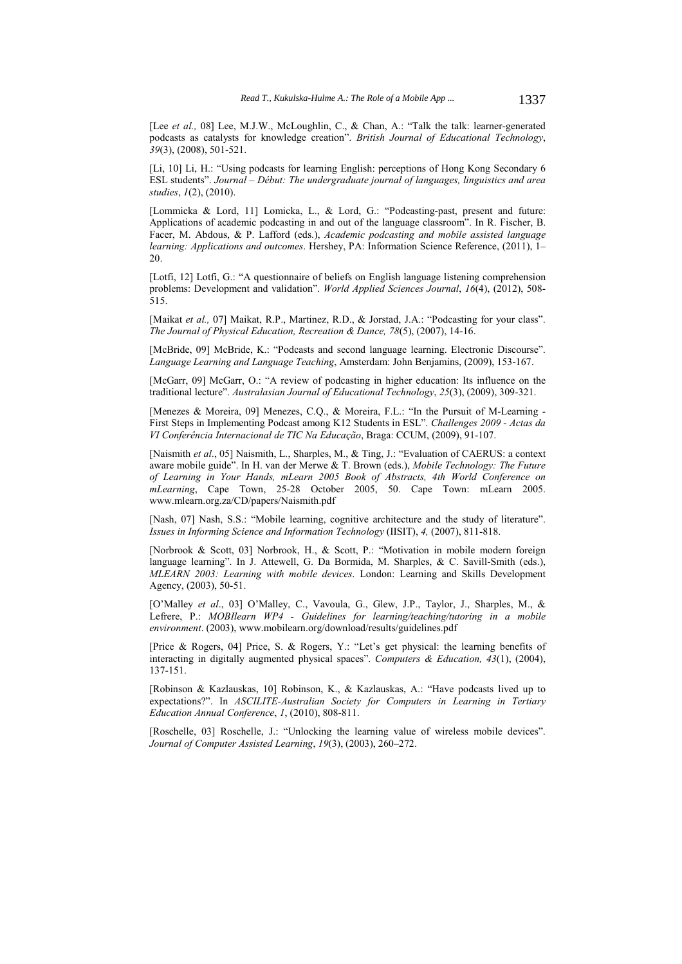[Lee *et al.*, 08] Lee, M.J.W., McLoughlin, C., & Chan, A.: "Talk the talk: learner-generated podcasts as catalysts for knowledge creation". *British Journal of Educational Technology*, *39*(3), (2008), 501-521.

[Li, 10] Li, H.: "Using podcasts for learning English: perceptions of Hong Kong Secondary 6 ESL students". *Journal – Début: The undergraduate journal of languages, linguistics and area studies*, *1*(2), (2010).

[Lommicka & Lord, 11] Lomicka, L., & Lord, G.: "Podcasting-past, present and future: Applications of academic podcasting in and out of the language classroom". In R. Fischer, B. Facer, M. Abdous, & P. Lafford (eds.), *Academic podcasting and mobile assisted language learning: Applications and outcomes*. Hershey, PA: Information Science Reference, (2011), 1– 20.

[Lotfi, 12] Lotfi, G.: "A questionnaire of beliefs on English language listening comprehension problems: Development and validation". *World Applied Sciences Journal*, *16*(4), (2012), 508- 515.

[Maikat et al., 07] Maikat, R.P., Martinez, R.D., & Jorstad, J.A.: "Podcasting for your class". *The Journal of Physical Education, Recreation & Dance, 78*(5), (2007), 14-16.

[McBride, 09] McBride, K.: "Podcasts and second language learning. Electronic Discourse". *Language Learning and Language Teaching*, Amsterdam: John Benjamins, (2009), 153-167.

[McGarr, 09] McGarr, O.: "A review of podcasting in higher education: Its influence on the traditional lecture". *Australasian Journal of Educational Technology*, *25*(3), (2009), 309-321.

[Menezes & Moreira, 09] Menezes, C.O., & Moreira, F.L.: "In the Pursuit of M-Learning -First Steps in Implementing Podcast among K12 Students in ESL". *Challenges 2009 - Actas da VI Conferência Internacional de TIC Na Educação*, Braga: CCUM, (2009), 91-107.

[Naismith *et al*., 05] Naismith, L., Sharples, M., & Ting, J.: "Evaluation of CAERUS: a context aware mobile guide". In H. van der Merwe & T. Brown (eds.), *Mobile Technology: The Future of Learning in Your Hands, mLearn 2005 Book of Abstracts, 4th World Conference on mLearning*, Cape Town, 25-28 October 2005, 50. Cape Town: mLearn 2005. www.mlearn.org.za/CD/papers/Naismith.pdf

[Nash, 07] Nash, S.S.: "Mobile learning, cognitive architecture and the study of literature". *Issues in Informing Science and Information Technology* (IISIT), *4,* (2007), 811-818.

[Norbrook & Scott, 03] Norbrook, H., & Scott, P.: "Motivation in mobile modern foreign language learning". In J. Attewell, G. Da Bormida, M. Sharples, & C. Savill-Smith (eds.), *MLEARN 2003: Learning with mobile devices*. London: Learning and Skills Development Agency, (2003), 50-51.

[O'Malley *et al*., 03] O'Malley, C., Vavoula, G., Glew, J.P., Taylor, J., Sharples, M., & Lefrere, P.: *MOBIlearn WP4 - Guidelines for learning/teaching/tutoring in a mobile environment*. (2003), www.mobilearn.org/download/results/guidelines.pdf

[Price & Rogers, 04] Price, S. & Rogers, Y.: "Let's get physical: the learning benefits of interacting in digitally augmented physical spaces". *Computers & Education, 43*(1), (2004), 137-151.

[Robinson & Kazlauskas, 10] Robinson, K., & Kazlauskas, A.: "Have podcasts lived up to expectations?". In *ASCILITE-Australian Society for Computers in Learning in Tertiary Education Annual Conference*, *1*, (2010), 808-811.

[Roschelle, 03] Roschelle, J.: "Unlocking the learning value of wireless mobile devices". *Journal of Computer Assisted Learning*, *19*(3), (2003), 260–272.